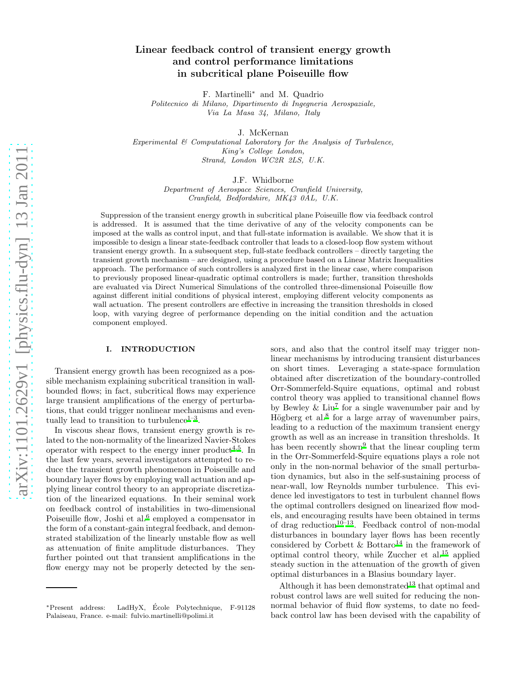# Linear feedback control of transient energy growth and control performance limitations in subcritical plane Poiseuille flow

F. Martinelli<sup>∗</sup> and M. Quadrio

Politecnico di Milano, Dipartimento di Ingegneria Aerospaziale, Via La Masa 34, Milano, Italy

J. McKernan

Experimental  $\mathcal B$  Computational Laboratory for the Analysis of Turbulence, King's College London, Strand, London WC2R 2LS, U.K.

J.F. Whidborne

Department of Aerospace Sciences, Cranfield University, Cranfield, Bedfordshire, MK43 0AL, U.K.

Suppression of the transient energy growth in subcritical plane Poiseuille flow via feedback control is addressed. It is assumed that the time derivative of any of the velocity components can be imposed at the walls as control input, and that full-state information is available. We show that it is impossible to design a linear state-feedback controller that leads to a closed-loop flow system without transient energy growth. In a subsequent step, full-state feedback controllers – directly targeting the transient growth mechanism – are designed, using a procedure based on a Linear Matrix Inequalities approach. The performance of such controllers is analyzed first in the linear case, where comparison to previously proposed linear-quadratic optimal controllers is made; further, transition thresholds are evaluated via Direct Numerical Simulations of the controlled three-dimensional Poiseuille flow against different initial conditions of physical interest, employing different velocity components as wall actuation. The present controllers are effective in increasing the transition thresholds in closed loop, with varying degree of performance depending on the initial condition and the actuation component employed.

#### I. INTRODUCTION

Transient energy growth has been recognized as a possible mechanism explaining subcritical transition in wallbounded flows; in fact, subcritical flows may experience large transient amplifications of the energy of perturbations, that could trigger nonlinear mechanisms and eventually lead to transition to turbulence<sup> $1-3$  $1-3$ </sup>.

In viscous shear flows, transient energy growth is related to the non-normality of the linearized Navier-Stokes operator with respect to the energy inner product<sup>[4](#page-8-2)[,5](#page-8-3)</sup>. In the last few years, several investigators attempted to reduce the transient growth phenomenon in Poiseuille and boundary layer flows by employing wall actuation and applying linear control theory to an appropriate discretization of the linearized equations. In their seminal work on feedback control of instabilities in two-dimensional Poiseuille flow, Joshi et al.<sup>[6](#page-8-4)</sup> employed a compensator in the form of a constant-gain integral feedback, and demonstrated stabilization of the linearly unstable flow as well as attenuation of finite amplitude disturbances. They further pointed out that transient amplifications in the flow energy may not be properly detected by the sensors, and also that the control itself may trigger nonlinear mechanisms by introducing transient disturbances on short times. Leveraging a state-space formulation obtained after discretization of the boundary-controlled Orr-Sommerfeld-Squire equations, optimal and robust control theory was applied to transitional channel flows by Bewley & Liu<sup>[7](#page-8-5)</sup> for a single wavenumber pair and by Högberg et al.<sup>[8](#page-8-6)</sup> for a large array of wavenumber pairs, leading to a reduction of the maximum transient energy growth as well as an increase in transition thresholds. It has been recently shown<sup>[9](#page-8-7)</sup> that the linear coupling term in the Orr-Sommerfeld-Squire equations plays a role not only in the non-normal behavior of the small perturbation dynamics, but also in the self-sustaining process of near-wall, low Reynolds number turbulence. This evidence led investigators to test in turbulent channel flows the optimal controllers designed on linearized flow models, and encouraging results have been obtained in terms of drag reduction<sup>[10](#page-8-8)[–13](#page-8-9)</sup>. Feedback control of non-modal disturbances in boundary layer flows has been recently considered by Corbett & Bottaro<sup>[14](#page-8-10)</sup> in the framework of optimal control theory, while Zuccher et al. $15$  applied steady suction in the attenuation of the growth of given optimal disturbances in a Blasius boundary layer.

Although it has been demonstrated<sup>[13](#page-8-9)</sup> that optimal and robust control laws are well suited for reducing the nonnormal behavior of fluid flow systems, to date no feedback control law has been devised with the capability of

<sup>∗</sup>Present address: LadHyX, Ecole Polytechnique, F-91128 ´ Palaiseau, France. e-mail: fulvio.martinelli@polimi.it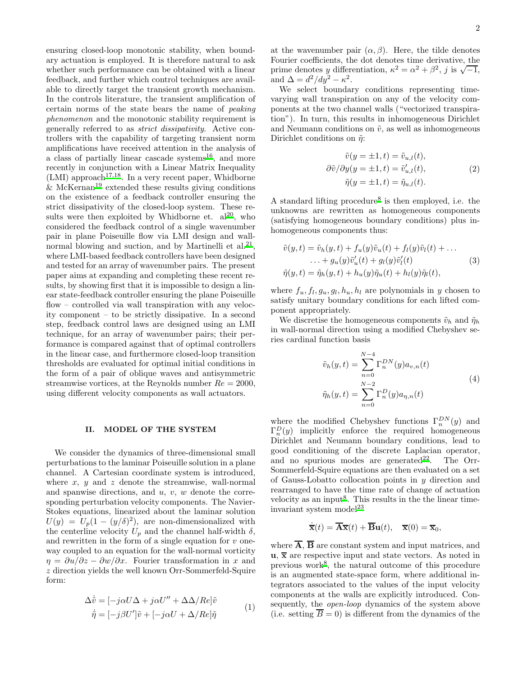ensuring closed-loop monotonic stability, when boundary actuation is employed. It is therefore natural to ask whether such performance can be obtained with a linear feedback, and further which control techniques are available to directly target the transient growth mechanism. In the controls literature, the transient amplification of certain norms of the state bears the name of peaking phenomenon and the monotonic stability requirement is generally referred to as strict dissipativity. Active controllers with the capability of targeting transient norm amplifications have received attention in the analysis of a class of partially linear cascade systems<sup>[16](#page-8-12)</sup>, and more recently in conjunction with a Linear Matrix Inequality  $(LMI)$  approach<sup>[17](#page-8-13)[,18](#page-8-14)</sup>. In a very recent paper, Whidborne  $\&$  McKernan<sup>[19](#page-9-0)</sup> extended these results giving conditions on the existence of a feedback controller ensuring the strict dissipativity of the closed-loop system. These results were then exploited by Whidborne et.  $al^{20}$  $al^{20}$  $al^{20}$ , who considered the feedback control of a single wavenumber pair in plane Poiseuille flow via LMI design and wall-normal blowing and suction, and by Martinelli et al.<sup>[21](#page-9-2)</sup>, where LMI-based feedback controllers have been designed and tested for an array of wavenumber pairs. The present paper aims at expanding and completing these recent results, by showing first that it is impossible to design a linear state-feedback controller ensuring the plane Poiseuille flow – controlled via wall transpiration with any velocity component – to be strictly dissipative. In a second step, feedback control laws are designed using an LMI technique, for an array of wavenumber pairs; their performance is compared against that of optimal controllers in the linear case, and furthermore closed-loop transition thresholds are evaluated for optimal initial conditions in the form of a pair of oblique waves and antisymmetric streamwise vortices, at the Reynolds number  $Re = 2000$ , using different velocity components as wall actuators.

#### II. MODEL OF THE SYSTEM

We consider the dynamics of three-dimensional small perturbations to the laminar Poiseuille solution in a plane channel. A Cartesian coordinate system is introduced, where  $x, y$  and  $z$  denote the streamwise, wall-normal and spanwise directions, and  $u, v, w$  denote the corresponding perturbation velocity components. The Navier-Stokes equations, linearized about the laminar solution  $U(y) = U_p(1 - (y/\delta)^2)$ , are non-dimensionalized with the centerline velocity  $U_p$  and the channel half-width  $\delta$ , and rewritten in the form of a single equation for  $v$  oneway coupled to an equation for the wall-normal vorticity  $\eta = \partial u/\partial z - \partial w/\partial x$ . Fourier transformation in x and z direction yields the well known Orr-Sommerfeld-Squire form:

$$
\Delta \dot{\tilde{v}} = [-j\alpha U \Delta + j\alpha U'' + \Delta \Delta / Re]\tilde{v}
$$
  

$$
\dot{\tilde{\eta}} = [-j\beta U']\tilde{v} + [-j\alpha U + \Delta / Re]\tilde{\eta}
$$
 (1)

at the wavenumber pair  $(\alpha, \beta)$ . Here, the tilde denotes Fourier coefficients, the dot denotes time derivative, the prime denotes y differentiation,  $\kappa^2 = \alpha^2 + \beta^2$ , j is  $\sqrt{-1}$ , and  $\Delta = d^2/dy^2 - \kappa^2$ .

We select boundary conditions representing timevarying wall transpiration on any of the velocity components at the two channel walls ("vectorized transpiration"). In turn, this results in inhomogeneous Dirichlet and Neumann conditions on  $\tilde{v}$ , as well as inhomogeneous Dirichlet conditions on  $\tilde{\eta}$ :

$$
\tilde{v}(y = \pm 1, t) = \tilde{v}_{u,l}(t),
$$
  
\n
$$
\partial \tilde{v}/\partial y(y = \pm 1, t) = \tilde{v}'_{u,l}(t),
$$
  
\n
$$
\tilde{\eta}(y = \pm 1, t) = \tilde{\eta}_{u,l}(t).
$$
\n(2)

A standard lifting procedure<sup>[8](#page-8-6)</sup> is then employed, i.e. the unknowns are rewritten as homogeneous components (satisfying homogeneous boundary conditions) plus inhomogeneous components thus:

$$
\tilde{v}(y,t) = \tilde{v}_h(y,t) + f_u(y)\tilde{v}_u(t) + f_l(y)\tilde{v}_l(t) + \dots
$$
  
 
$$
\dots + g_u(y)\tilde{v}'_u(t) + g_l(y)\tilde{v}'_l(t) \qquad (3)
$$
  
\n
$$
\tilde{\eta}(y,t) = \tilde{\eta}_h(y,t) + h_u(y)\tilde{\eta}_u(t) + h_l(y)\tilde{\eta}_l(t),
$$

where  $f_u, f_l, g_u, g_l, h_u, h_l$  are polynomials in y chosen to satisfy unitary boundary conditions for each lifted component appropriately.

We discretise the homogeneous components  $\tilde{v}_h$  and  $\tilde{\eta}_h$ in wall-normal direction using a modified Chebyshev series cardinal function basis

$$
\tilde{v}_h(y,t) = \sum_{n=0}^{N-4} \Gamma_n^{DN}(y) a_{v,n}(t)
$$
\n
$$
\tilde{\eta}_h(y,t) = \sum_{n=0}^{N-2} \Gamma_n^D(y) a_{\eta,n}(t)
$$
\n(4)

where the modified Chebyshev functions  $\Gamma_n^{DN}(y)$  and  $\Gamma_n^D(y)$  implicitly enforce the required homogeneous Dirichlet and Neumann boundary conditions, lead to good conditioning of the discrete Laplacian operator, and no spurious modes are generated $2^2$ . The Orr-Sommerfeld-Squire equations are then evaluated on a set of Gauss-Lobatto collocation points in y direction and rearranged to have the time rate of change of actuation velocity as an input<sup>[8](#page-8-6)</sup>. This results in the the linear timeinvariant system model $^{23}$  $^{23}$  $^{23}$ 

$$
\dot{\overline{\mathbf{x}}}(t) = \overline{\mathbf{A}}\overline{\mathbf{x}}(t) + \overline{\mathbf{B}}\mathbf{u}(t), \quad \overline{\mathbf{x}}(0) = \overline{\mathbf{x}}_0,
$$

where  $\overline{A}$ ,  $\overline{B}$  are constant system and input matrices, and  $\mathbf{u}, \overline{\mathbf{x}}$  are respective input and state vectors. As noted in previous work<sup>[8](#page-8-6)</sup>, the natural outcome of this procedure is an augmented state-space form, where additional integrators associated to the values of the input velocity components at the walls are explicitly introduced. Consequently, the open-loop dynamics of the system above (i.e. setting  $\overline{B} = 0$ ) is different from the dynamics of the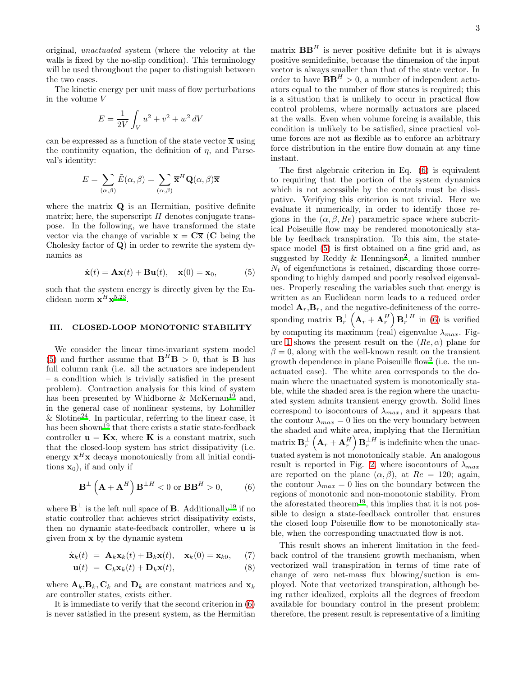original, unactuated system (where the velocity at the walls is fixed by the no-slip condition). This terminology will be used throughout the paper to distinguish between the two cases.

The kinetic energy per unit mass of flow perturbations in the volume V

$$
E = \frac{1}{2V} \int_{V} u^2 + v^2 + w^2 \, dV
$$

can be expressed as a function of the state vector  $\bar{x}$  using the continuity equation, the definition of  $\eta$ , and Parseval's identity:

$$
E = \sum_{(\alpha,\beta)} \tilde{E}(\alpha,\beta) = \sum_{(\alpha,\beta)} \overline{\mathbf{x}}^H \mathbf{Q}(\alpha,\beta) \overline{\mathbf{x}}
$$

where the matrix  $Q$  is an Hermitian, positive definite matrix; here, the superscript  $H$  denotes conjugate transpose. In the following, we have transformed the state vector via the change of variable  $x = C\overline{x}$  (C being the Cholesky factor of  $Q$ ) in order to rewrite the system dynamics as

<span id="page-2-0"></span>
$$
\dot{\mathbf{x}}(t) = \mathbf{A}\mathbf{x}(t) + \mathbf{B}\mathbf{u}(t), \quad \mathbf{x}(0) = \mathbf{x}_0,\tag{5}
$$

such that the system energy is directly given by the Euclidean norm  $\mathbf{x}^{H} \mathbf{x}^{5,23}$  $\mathbf{x}^{H} \mathbf{x}^{5,23}$  $\mathbf{x}^{H} \mathbf{x}^{5,23}$  $\mathbf{x}^{H} \mathbf{x}^{5,23}$ .

## <span id="page-2-2"></span>III. CLOSED-LOOP MONOTONIC STABILITY

We consider the linear time-invariant system model [\(5\)](#page-2-0) and further assume that  $\mathbf{B}^H \mathbf{B} > 0$ , that is **B** has full column rank (i.e. all the actuators are independent – a condition which is trivially satisfied in the present problem). Contraction analysis for this kind of system has been presented by Whidborne & McKernan<sup>[19](#page-9-0)</sup> and, in the general case of nonlinear systems, by Lohmiller & Slotine<sup>[24](#page-9-5)</sup>. In particular, referring to the linear case, it has been shown<sup>[19](#page-9-0)</sup> that there exists a static state-feedback controller  $\mathbf{u} = \mathbf{K}\mathbf{x}$ , where **K** is a constant matrix, such that the closed-loop system has strict dissipativity (i.e. energy  $\mathbf{x}^H \mathbf{x}$  decays monotonically from all initial conditions  $\mathbf{x}_0$ ), if and only if

<span id="page-2-1"></span>
$$
\mathbf{B}^{\perp}\left(\mathbf{A} + \mathbf{A}^{H}\right)\mathbf{B}^{\perp H} < 0 \text{ or } \mathbf{B}\mathbf{B}^{H} > 0,\tag{6}
$$

where  $\mathbf{B}^{\perp}$  is the left null space of **B**. Additionally<sup>[19](#page-9-0)</sup> if no static controller that achieves strict dissipativity exists, then no dynamic state-feedback controller, where u is given from x by the dynamic system

$$
\dot{\mathbf{x}}_k(t) = \mathbf{A}_k \mathbf{x}_k(t) + \mathbf{B}_k \mathbf{x}(t), \quad \mathbf{x}_k(0) = \mathbf{x}_{k0}, \quad (7)
$$

$$
\mathbf{u}(t) = \mathbf{C}_k \mathbf{x}_k(t) + \mathbf{D}_k \mathbf{x}(t), \tag{8}
$$

where  $\mathbf{A}_k, \mathbf{B}_k, \mathbf{C}_k$  and  $\mathbf{D}_k$  are constant matrices and  $\mathbf{x}_k$ are controller states, exists either.

It is immediate to verify that the second criterion in [\(6\)](#page-2-1) is never satisfied in the present system, as the Hermitian

matrix  $BB<sup>H</sup>$  is never positive definite but it is always positive semidefinite, because the dimension of the input vector is always smaller than that of the state vector. In order to have  $\mathbf{B}\mathbf{B}^H > 0$ , a number of independent actuators equal to the number of flow states is required; this is a situation that is unlikely to occur in practical flow control problems, where normally actuators are placed at the walls. Even when volume forcing is available, this condition is unlikely to be satisfied, since practical volume forces are not as flexible as to enforce an arbitrary force distribution in the entire flow domain at any time instant.

The first algebraic criterion in Eq. [\(6\)](#page-2-1) is equivalent to requiring that the portion of the system dynamics which is not accessible by the controls must be dissipative. Verifying this criterion is not trivial. Here we evaluate it numerically, in order to identify those regions in the  $(\alpha, \beta, Re)$  parametric space where subcritical Poiseuille flow may be rendered monotonically stable by feedback transpiration. To this aim, the statespace model [\(5\)](#page-2-0) is first obtained on a fine grid and, as suggested by Reddy & Henningson<sup>[2](#page-8-15)</sup>, a limited number  $N_t$  of eigenfunctions is retained, discarding those corresponding to highly damped and poorly resolved eigenvalues. Properly rescaling the variables such that energy is written as an Euclidean norm leads to a reduced order model  $\mathbf{A}_r$ ,  $\mathbf{B}_r$ , and the negative-definiteness of the corresponding matrix  $\mathbf{B}_r^{\perp}(\mathbf{A}_r + \mathbf{A}_r^H) \mathbf{B}_r^{\perp H}$  in [\(6\)](#page-2-1) is verified by computing its maximum (real) eigenvalue  $\lambda_{max}$ . Fig-ure [1](#page-3-0) shows the present result on the  $(Re, \alpha)$  plane for  $\beta = 0$ , along with the well-known result on the transient growth dependence in plane Poiseuille flow<sup>[2](#page-8-15)</sup> (i.e. the unactuated case). The white area corresponds to the domain where the unactuated system is monotonically stable, while the shaded area is the region where the unactuated system admits transient energy growth. Solid lines correspond to isocontours of  $\lambda_{max}$ , and it appears that the contour  $\lambda_{max} = 0$  lies on the very boundary between the shaded and white area, implying that the Hermitian matrix  $\mathbf{B}_r^{\perp} (\mathbf{A}_r + \mathbf{A}_r^H) \mathbf{B}_r^{\perp H}$  is indefinite when the unactuated system is not monotonically stable. An analogous result is reported in Fig. [2,](#page-3-1) where isocontours of  $\lambda_{max}$ are reported on the plane  $(\alpha, \beta)$ , at  $Re = 120$ ; again, the contour  $\lambda_{max} = 0$  lies on the boundary between the regions of monotonic and non-monotonic stability. From the aforestated theorem<sup>[19](#page-9-0)</sup>, this implies that it is not possible to design a state-feedback controller that ensures the closed loop Poiseuille flow to be monotonically stable, when the corresponding unactuated flow is not.

This result shows an inherent limitation in the feedback control of the transient growth mechanism, when vectorized wall transpiration in terms of time rate of change of zero net-mass flux blowing/suction is employed. Note that vectorized transpiration, although being rather idealized, exploits all the degrees of freedom available for boundary control in the present problem; therefore, the present result is representative of a limiting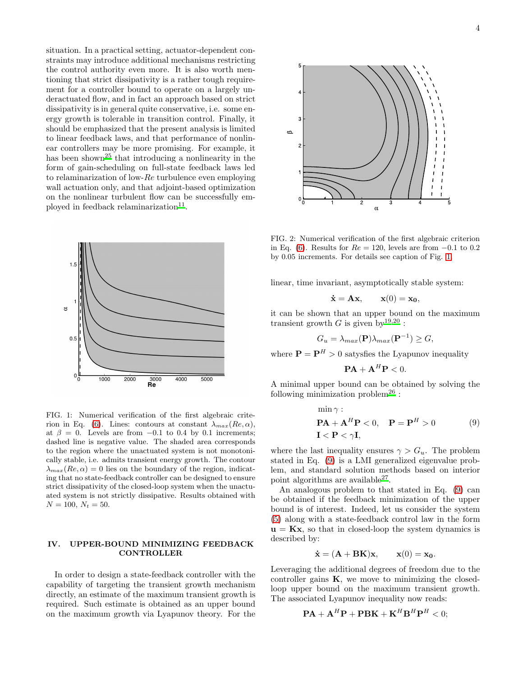situation. In a practical setting, actuator-dependent constraints may introduce additional mechanisms restricting the control authority even more. It is also worth mentioning that strict dissipativity is a rather tough requirement for a controller bound to operate on a largely underactuated flow, and in fact an approach based on strict dissipativity is in general quite conservative, i.e. some energy growth is tolerable in transition control. Finally, it should be emphasized that the present analysis is limited to linear feedback laws, and that performance of nonlinear controllers may be more promising. For example, it has been shown<sup>[25](#page-9-6)</sup> that introducing a nonlinearity in the form of gain-scheduling on full-state feedback laws led to relaminarization of low-Re turbulence even employing wall actuation only, and that adjoint-based optimization on the nonlinear turbulent flow can be successfully employed in feedback relaminarization $^{11}$  $^{11}$  $^{11}$ .



<span id="page-3-0"></span>FIG. 1: Numerical verification of the first algebraic crite-rion in Eq. [\(6\)](#page-2-1). Lines: contours at constant  $\lambda_{max}(Re, \alpha)$ , at  $\beta = 0$ . Levels are from -0.1 to 0.4 by 0.1 increments; dashed line is negative value. The shaded area corresponds to the region where the unactuated system is not monotonically stable, i.e. admits transient energy growth. The contour  $\lambda_{max}(Re, \alpha) = 0$  lies on the boundary of the region, indicating that no state-feedback controller can be designed to ensure strict dissipativity of the closed-loop system when the unactuated system is not strictly dissipative. Results obtained with  $N = 100, N_t = 50.$ 

#### IV. UPPER-BOUND MINIMIZING FEEDBACK CONTROLLER

In order to design a state-feedback controller with the capability of targeting the transient growth mechanism directly, an estimate of the maximum transient growth is required. Such estimate is obtained as an upper bound on the maximum growth via Lyapunov theory. For the



<span id="page-3-1"></span>FIG. 2: Numerical verification of the first algebraic criterion in Eq. [\(6\)](#page-2-1). Results for  $Re = 120$ , levels are from  $-0.1$  to 0.2 by 0.05 increments. For details see caption of Fig. [1.](#page-3-0)

linear, time invariant, asymptotically stable system:

$$
\dot{\mathbf{x}} = \mathbf{A}\mathbf{x}, \qquad \mathbf{x}(0) = \mathbf{x_0},
$$

it can be shown that an upper bound on the maximum transient growth G is given by  $19,20$  $19,20$ :

$$
G_u = \lambda_{max}(\mathbf{P})\lambda_{max}(\mathbf{P}^{-1}) \ge G,
$$

where  $\mathbf{P} = \mathbf{P}^H > 0$  satysfies the Lyapunov inequality

$$
\mathbf{PA} + \mathbf{A}^H \mathbf{P} < 0.
$$

A minimal upper bound can be obtained by solving the following minimization problem<sup>[26](#page-9-7)</sup>:

<span id="page-3-2"></span>
$$
\min \gamma : \n\mathbf{PA} + \mathbf{A}^{H} \mathbf{P} < 0, \quad \mathbf{P} = \mathbf{P}^{H} > 0
$$
\n
$$
\mathbf{I} < \mathbf{P} < \gamma \mathbf{I},
$$
\n
$$
(9)
$$

where the last inequality ensures  $\gamma > G_u$ . The problem stated in Eq. [\(9\)](#page-3-2) is a LMI generalized eigenvalue problem, and standard solution methods based on interior point algorithms are available<sup>[27](#page-9-8)</sup>.

An analogous problem to that stated in Eq. [\(9\)](#page-3-2) can be obtained if the feedback minimization of the upper bound is of interest. Indeed, let us consider the system [\(5\)](#page-2-0) along with a state-feedback control law in the form  $u = Kx$ , so that in closed-loop the system dynamics is described by:

$$
\dot{\mathbf{x}} = (\mathbf{A} + \mathbf{B}\mathbf{K})\mathbf{x}, \qquad \mathbf{x}(0) = \mathbf{x}_0.
$$

Leveraging the additional degrees of freedom due to the controller gains  $K$ , we move to minimizing the closedloop upper bound on the maximum transient growth. The associated Lyapunov inequality now reads:

$$
\mathbf{PA} + \mathbf{A}^H \mathbf{P} + \mathbf{P} \mathbf{B} \mathbf{K} + \mathbf{K}^H \mathbf{B}^H \mathbf{P}^H < 0;
$$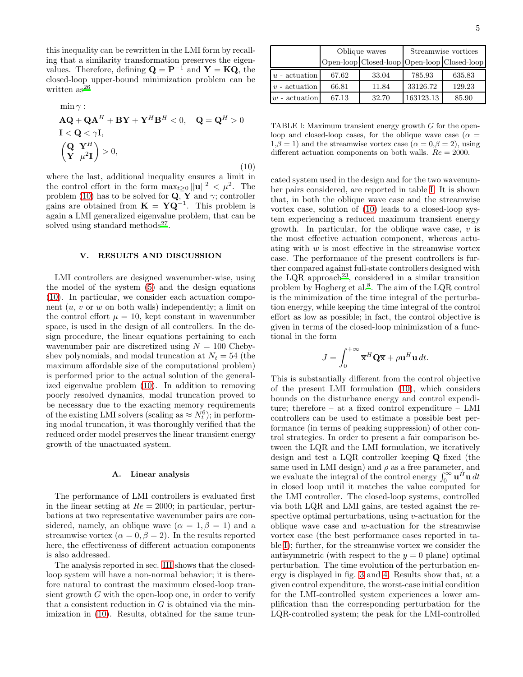this inequality can be rewritten in the LMI form by recalling that a similarity transformation preserves the eigenvalues. Therefore, defining  $\mathbf{Q} = \mathbf{P}^{-1}$  and  $\mathbf{Y} = \mathbf{KQ}$ , the closed-loop upper-bound minimization problem can be written  $as^{26}$  $as^{26}$  $as^{26}$ 

<span id="page-4-0"></span>
$$
\min \gamma : \nAQ + QAH + BY + YHBH < 0, \quad Q = QH > 0 \nI < Q < \gamma I, \n\left(\begin{array}{cc} Q & YH \\ Y & \mu2I \end{array}\right) > 0,
$$
\n(10)

where the last, additional inequality ensures a limit in the control effort in the form  $\max_{t\geq 0} ||\mathbf{u}||^2 < \mu^2$ . The problem [\(10\)](#page-4-0) has to be solved for  $\mathbf{Q}, \mathbf{Y}$  and  $\gamma$ ; controller gains are obtained from  $\mathbf{K} = \mathbf{Y} \mathbf{Q}^{-1}$ . This problem is again a LMI generalized eigenvalue problem, that can be solved using standard methods<sup>[27](#page-9-8)</sup>.

#### V. RESULTS AND DISCUSSION

LMI controllers are designed wavenumber-wise, using the model of the system [\(5\)](#page-2-0) and the design equations [\(10\)](#page-4-0). In particular, we consider each actuation component  $(u, v \text{ or } w \text{ on both walls})$  independently; a limit on the control effort  $\mu = 10$ , kept constant in wavenumber space, is used in the design of all controllers. In the design procedure, the linear equations pertaining to each wavenumber pair are discretized using  $N = 100$  Chebyshev polynomials, and modal truncation at  $N_t = 54$  (the maximum affordable size of the computational problem) is performed prior to the actual solution of the generalized eigenvalue problem [\(10\)](#page-4-0). In addition to removing poorly resolved dynamics, modal truncation proved to be necessary due to the exacting memory requirements of the existing LMI solvers (scaling as  $\approx N_t^6$ ); in performing modal truncation, it was thoroughly verified that the reduced order model preserves the linear transient energy growth of the unactuated system.

## A. Linear analysis

The performance of LMI controllers is evaluated first in the linear setting at  $Re = 2000$ ; in particular, perturbations at two representative wavenumber pairs are considered, namely, an oblique wave  $(\alpha = 1, \beta = 1)$  and a streamwise vortex  $(\alpha = 0, \beta = 2)$ . In the results reported here, the effectiveness of different actuation components is also addressed.

The analysis reported in sec. [III](#page-2-2) shows that the closedloop system will have a non-normal behavior; it is therefore natural to contrast the maximum closed-loop transient growth G with the open-loop one, in order to verify that a consistent reduction in  $G$  is obtained via the minimization in [\(10\)](#page-4-0). Results, obtained for the same trun-

|                 | Oblique waves |                                             | Streamwise vortices |        |
|-----------------|---------------|---------------------------------------------|---------------------|--------|
|                 |               | Open-loop Closed-loop Open-loop Closed-loop |                     |        |
| $u$ - actuation | 67.62         | 33.04                                       | 785.93              | 635.83 |
| $v$ - actuation | 66.81         | 11.84                                       | 33126.72            | 129.23 |
| $w$ - actuation | 67.13         | 32.70                                       | 163123.13           | 85.90  |
|                 |               |                                             |                     |        |

<span id="page-4-1"></span>TABLE I: Maximum transient energy growth G for the openloop and closed-loop cases, for the oblique wave case ( $\alpha =$  $1,\beta = 1$ ) and the streamwise vortex case  $(\alpha = 0,\beta = 2)$ , using different actuation components on both walls.  $Re = 2000$ .

cated system used in the design and for the two wavenumber pairs considered, are reported in table [I.](#page-4-1) It is shown that, in both the oblique wave case and the streamwise vortex case, solution of [\(10\)](#page-4-0) leads to a closed-loop system experiencing a reduced maximum transient energy growth. In particular, for the oblique wave case,  $v$  is the most effective actuation component, whereas actuating with  $w$  is most effective in the streamwise vortex case. The performance of the present controllers is further compared against full-state controllers designed with the LQR approach<sup>[23](#page-9-4)</sup>, considered in a similar transition problem by Hogberg et al.<sup>[8](#page-8-6)</sup>. The aim of the LQR control is the minimization of the time integral of the perturbation energy, while keeping the time integral of the control effort as low as possible; in fact, the control objective is given in terms of the closed-loop minimization of a functional in the form

$$
J = \int_0^{+\infty} \overline{\mathbf{x}}^H \mathbf{Q} \overline{\mathbf{x}} + \rho \mathbf{u}^H \mathbf{u} dt.
$$

This is substantially different from the control objective of the present LMI formulation [\(10\)](#page-4-0), which considers bounds on the disturbance energy and control expenditure; therefore – at a fixed control expenditure – LMI controllers can be used to estimate a possible best performance (in terms of peaking suppression) of other control strategies. In order to present a fair comparison between the LQR and the LMI formulation, we iteratively design and test a LQR controller keeping Q fixed (the same used in LMI design) and  $\rho$  as a free parameter, and we evaluate the integral of the control energy  $\int_0^\infty \mathbf{u} \, H \, \mathbf{u} \, dt$ in closed loop until it matches the value computed for the LMI controller. The closed-loop systems, controlled via both LQR and LMI gains, are tested against the respective optimal perturbations, using  $v$ -actuation for the oblique wave case and w-actuation for the streamwise vortex case (the best performance cases reported in table [I\)](#page-4-1); further, for the streamwise vortex we consider the antisymmetric (with respect to the  $y = 0$  plane) optimal perturbation. The time evolution of the perturbation energy is displayed in fig. [3](#page-5-0) and [4.](#page-5-1) Results show that, at a given control expenditure, the worst-case initial condition for the LMI-controlled system experiences a lower amplification than the corresponding perturbation for the LQR-controlled system; the peak for the LMI-controlled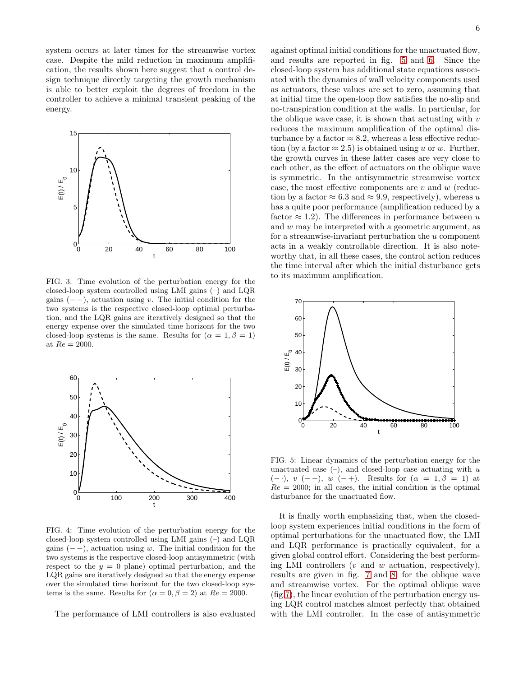system occurs at later times for the streamwise vortex case. Despite the mild reduction in maximum amplification, the results shown here suggest that a control design technique directly targeting the growth mechanism is able to better exploit the degrees of freedom in the controller to achieve a minimal transient peaking of the energy.



<span id="page-5-0"></span>FIG. 3: Time evolution of the perturbation energy for the closed-loop system controlled using LMI gains (–) and LQR gains  $(--)$ , actuation using v. The initial condition for the two systems is the respective closed-loop optimal perturbation, and the LQR gains are iteratively designed so that the energy expense over the simulated time horizont for the two closed-loop systems is the same. Results for  $(\alpha = 1, \beta = 1)$ at  $Re = 2000$ .



<span id="page-5-1"></span>FIG. 4: Time evolution of the perturbation energy for the closed-loop system controlled using LMI gains (–) and LQR gains  $(--)$ , actuation using w. The initial condition for the two systems is the respective closed-loop antisymmetric (with respect to the  $y = 0$  plane) optimal perturbation, and the LQR gains are iteratively designed so that the energy expense over the simulated time horizont for the two closed-loop systems is the same. Results for  $(\alpha = 0, \beta = 2)$  at  $Re = 2000$ .

The performance of LMI controllers is also evaluated

against optimal initial conditions for the unactuated flow, and results are reported in fig. [5](#page-5-2) and [6.](#page-6-0) Since the closed-loop system has additional state equations associated with the dynamics of wall velocity components used as actuators, these values are set to zero, assuming that at initial time the open-loop flow satisfies the no-slip and no-transpiration condition at the walls. In particular, for the oblique wave case, it is shown that actuating with  $v$ reduces the maximum amplification of the optimal disturbance by a factor  $\approx 8.2$ , whereas a less effective reduction (by a factor  $\approx 2.5$ ) is obtained using u or w. Further, the growth curves in these latter cases are very close to each other, as the effect of actuators on the oblique wave is symmetric. In the antisymmetric streamwise vortex case, the most effective components are  $v$  and  $w$  (reduction by a factor  $\approx 6.3$  and  $\approx 9.9$ , respectively), whereas u has a quite poor performance (amplification reduced by a factor  $\approx$  1.2). The differences in performance between u and w may be interpreted with a geometric argument, as for a streamwise-invariant perturbation the u component acts in a weakly controllable direction. It is also noteworthy that, in all these cases, the control action reduces the time interval after which the initial disturbance gets to its maximum amplification.



<span id="page-5-2"></span>FIG. 5: Linear dynamics of the perturbation energy for the unactuated case  $(-)$ , and closed-loop case actuating with u  $(- \cdot), v (--)$ , w  $(-+)$ . Results for  $(\alpha = 1, \beta = 1)$  at  $Re = 2000$ ; in all cases, the initial condition is the optimal disturbance for the unactuated flow.

It is finally worth emphasizing that, when the closedloop system experiences initial conditions in the form of optimal perturbations for the unactuated flow, the LMI and LQR performance is practically equivalent, for a given global control effort. Considering the best performing LMI controllers  $(v \text{ and } w \text{ actuation}, \text{ respectively}),$ results are given in fig. [7](#page-6-1) and [8,](#page-6-2) for the oblique wave and streamwise vortex. For the optimal oblique wave (fig[.7\)](#page-6-1), the linear evolution of the perturbation energy using LQR control matches almost perfectly that obtained with the LMI controller. In the case of antisymmetric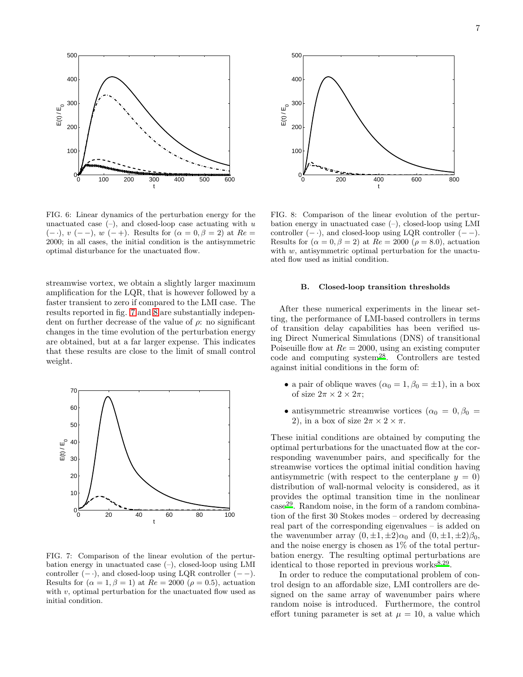

<span id="page-6-0"></span>FIG. 6: Linear dynamics of the perturbation energy for the unactuated case  $(-)$ , and closed-loop case actuating with u  $(-, 0, v(-))$ ,  $w(-+)$ . Results for  $(\alpha = 0, \beta = 2)$  at  $Re =$ 2000; in all cases, the initial condition is the antisymmetric optimal disturbance for the unactuated flow.

streamwise vortex, we obtain a slightly larger maximum amplification for the LQR, that is however followed by a faster transient to zero if compared to the LMI case. The results reported in fig. [7](#page-6-1) and [8](#page-6-2) are substantially independent on further decrease of the value of  $\rho$ : no significant changes in the time evolution of the perturbation energy are obtained, but at a far larger expense. This indicates that these results are close to the limit of small control weight.



<span id="page-6-1"></span>FIG. 7: Comparison of the linear evolution of the perturbation energy in unactuated case (–), closed-loop using LMI controller  $(-, \cdot)$ , and closed-loop using LQR controller  $(-, \cdot)$ . Results for  $(\alpha = 1, \beta = 1)$  at  $Re = 2000 \ (\rho = 0.5)$ , actuation with  $v$ , optimal perturbation for the unactuated flow used as initial condition.



<span id="page-6-2"></span>FIG. 8: Comparison of the linear evolution of the perturbation energy in unactuated case  $(-)$ , closed-loop using LMI controller  $(-)$ , and closed-loop using LQR controller  $(-)$ . Results for  $(\alpha = 0, \beta = 2)$  at  $Re = 2000$   $(\rho = 8.0)$ , actuation with  $w$ , antisymmetric optimal perturbation for the unactuated flow used as initial condition.

## B. Closed-loop transition thresholds

After these numerical experiments in the linear setting, the performance of LMI-based controllers in terms of transition delay capabilities has been verified using Direct Numerical Simulations (DNS) of transitional Poiseuille flow at  $Re = 2000$ , using an existing computer code and computing system[28](#page-9-9). Controllers are tested against initial conditions in the form of:

- a pair of oblique waves  $(\alpha_0 = 1, \beta_0 = \pm 1)$ , in a box of size  $2\pi \times 2 \times 2\pi$ ;
- antisymmetric streamwise vortices  $(\alpha_0 = 0, \beta_0 = 0)$ 2), in a box of size  $2\pi \times 2 \times \pi$ .

These initial conditions are obtained by computing the optimal perturbations for the unactuated flow at the corresponding wavenumber pairs, and specifically for the streamwise vortices the optimal initial condition having antisymmetric (with respect to the centerplane  $y = 0$ ) distribution of wall-normal velocity is considered, as it provides the optimal transition time in the nonlinear case[29](#page-9-10). Random noise, in the form of a random combination of the first 30 Stokes modes – ordered by decreasing real part of the corresponding eigenvalues – is added on the wavenumber array  $(0, \pm 1, \pm 2)\alpha_0$  and  $(0, \pm 1, \pm 2)\beta_0$ , and the noise energy is chosen as 1% of the total perturbation energy. The resulting optimal perturbations are identical to those reported in previous works<sup>[8](#page-8-6)[,29](#page-9-10)</sup>.

In order to reduce the computational problem of control design to an affordable size, LMI controllers are designed on the same array of wavenumber pairs where random noise is introduced. Furthermore, the control effort tuning parameter is set at  $\mu = 10$ , a value which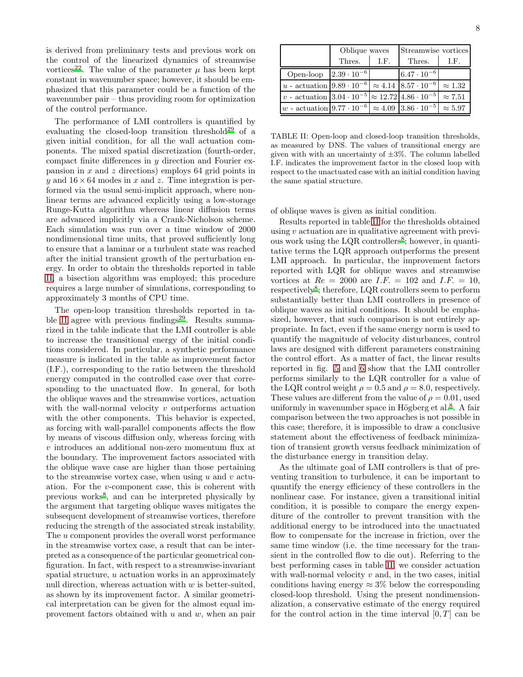is derived from preliminary tests and previous work on the control of the linearized dynamics of streamwise vortices<sup>[22](#page-9-3)</sup>. The value of the parameter  $\mu$  has been kept constant in wavenumber space; however, it should be emphasized that this parameter could be a function of the wavenumber pair – thus providing room for optimization of the control performance.

The performance of LMI controllers is quantified by evaluating the closed-loop transition threshold<sup>[29](#page-9-10)</sup> of a given initial condition, for all the wall actuation components. The mixed spatial discretization (fourth-order, compact finite differences in y direction and Fourier expansion in  $x$  and  $z$  directions) employs 64 grid points in y and  $16 \times 64$  modes in x and z. Time integration is performed via the usual semi-implicit approach, where nonlinear terms are advanced explicitly using a low-storage Runge-Kutta algorithm whereas linear diffusion terms are advanced implicitly via a Crank-Nicholson scheme. Each simulation was run over a time window of 2000 nondimensional time units, that proved sufficiently long to ensure that a laminar or a turbulent state was reached after the initial transient growth of the perturbation energy. In order to obtain the thresholds reported in table [II,](#page-7-0) a bisection algorithm was employed; this procedure requires a large number of simulations, corresponding to approximately 3 months of CPU time.

The open-loop transition thresholds reported in ta-ble [II](#page-7-0) agree with previous findings<sup>[29](#page-9-10)</sup>. Results summarized in the table indicate that the LMI controller is able to increase the transitional energy of the initial conditions considered. In particular, a synthetic performance measure is indicated in the table as improvement factor (I.F.), corresponding to the ratio between the threshold energy computed in the controlled case over that corresponding to the unactuated flow. In general, for both the oblique waves and the streamwise vortices, actuation with the wall-normal velocity  $v$  outperforms actuation with the other components. This behavior is expected, as forcing with wall-parallel components affects the flow by means of viscous diffusion only, whereas forcing with v introduces an additional non-zero momentum flux at the boundary. The improvement factors associated with the oblique wave case are higher than those pertaining to the streamwise vortex case, when using  $u$  and  $v$  actuation. For the v-component case, this is coherent with previous works<sup>[8](#page-8-6)</sup>, and can be interpreted physically by the argument that targeting oblique waves mitigates the subsequent development of streamwise vortices, therefore reducing the strength of the associated streak instability. The u component provides the overall worst performance in the streamwise vortex case, a result that can be interpreted as a consequence of the particular geometrical configuration. In fact, with respect to a streamwise-invariant spatial structure, u actuation works in an approximately null direction, whereas actuation with  $w$  is better-suited. as shown by its improvement factor. A similar geometrical interpretation can be given for the almost equal improvement factors obtained with u and w, when an pair

|                                                                                     | Oblique waves        |     | Streamwise vortices  |                |
|-------------------------------------------------------------------------------------|----------------------|-----|----------------------|----------------|
|                                                                                     | Thres.               | LF. | Thres.               | LF.            |
| Open-loop                                                                           | $2.39 \cdot 10^{-6}$ |     | $6.47 \cdot 10^{-6}$ |                |
| u - actuation $ 9.89 \cdot 10^{-6}  \approx 4.14  8.57 \cdot 10^{-6}  \approx 1.32$ |                      |     |                      |                |
| v - actuation $ 3.04 \cdot 10^{-5}  \approx 12.72  4.86 \cdot 10^{-5} $             |                      |     |                      | $\approx 7.51$ |
| w - actuation $9.77 \cdot 10^{-6} \approx 4.09 \cdot 3.86 \cdot 10^{-5}$            |                      |     |                      | $\approx 5.97$ |

<span id="page-7-0"></span>TABLE II: Open-loop and closed-loop transition thresholds, as measured by DNS. The values of transitional energy are given with with an uncertainty of  $\pm 3\%$ . The column labelled I.F. indicates the improvement factor in the closed loop with respect to the unactuated case with an initial condition having the same spatial structure.

of oblique waves is given as initial condition.

Results reported in table [II](#page-7-0) for the thresholds obtained using  $v$  actuation are in qualitative agreement with previ-ous work using the LQR controllers<sup>[8](#page-8-6)</sup>; however, in quantitative terms the LQR approach outperforms the present LMI approach. In particular, the improvement factors reported with LQR for oblique waves and streamwise vortices at  $Re = 2000$  are  $I.F. = 102$  and  $I.F. = 10$ , respectively<sup>[8](#page-8-6)</sup>; therefore, LQR controllers seem to perform substantially better than LMI controllers in presence of oblique waves as initial conditions. It should be emphasized, however, that such comparison is not entirely appropriate. In fact, even if the same energy norm is used to quantify the magnitude of velocity disturbances, control laws are designed with different parameters constraining the control effort. As a matter of fact, the linear results reported in fig. [5](#page-5-2) and [6](#page-6-0) show that the LMI controller performs similarly to the LQR controller for a value of the LQR control weight  $\rho = 0.5$  and  $\rho = 8.0$ , respectively. These values are different from the value of  $\rho = 0.01$ , used uniformly in wavenumber space in Högberg et al[.](#page-8-6)<sup>8</sup>. A fair comparison between the two approaches is not possible in this case; therefore, it is impossible to draw a conclusive statement about the effectiveness of feedback minimization of transient growth versus feedback minimization of the disturbance energy in transition delay.

As the ultimate goal of LMI controllers is that of preventing transition to turbulence, it can be important to quantify the energy efficiency of these controllers in the nonlinear case. For instance, given a transitional initial condition, it is possible to compare the energy expenditure of the controller to prevent transition with the additional energy to be introduced into the unactuated flow to compensate for the increase in friction, over the same time window (i.e. the time necessary for the transient in the controlled flow to die out). Referring to the best performing cases in table [II,](#page-7-0) we consider actuation with wall-normal velocity  $v$  and, in the two cases, initial conditions having energy  $\approx 3\%$  below the corresponding closed-loop threshold. Using the present nondimensionalization, a conservative estimate of the energy required for the control action in the time interval  $[0, T]$  can be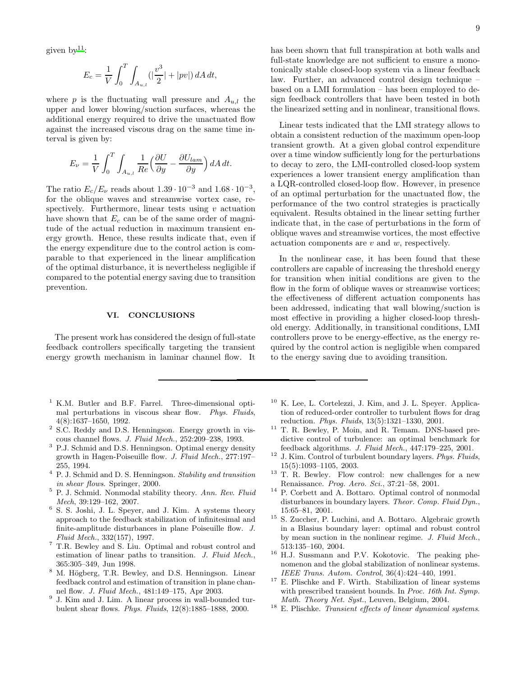given by  $11$ :

$$
E_c = \frac{1}{V} \int_0^T \int_{A_{u,l}} (|\frac{v^3}{2}| + |pv|) dA dt,
$$

where  $p$  is the fluctuating wall pressure and  $A_{u,l}$  the upper and lower blowing/suction surfaces, whereas the additional energy required to drive the unactuated flow against the increased viscous drag on the same time interval is given by:

$$
E_{\nu} = \frac{1}{V} \int_0^T \int_{A_{u,l}} \frac{1}{Re} \left( \frac{\partial U}{\partial y} - \frac{\partial U_{lam}}{\partial y} \right) dA dt.
$$

The ratio  $E_c/E_\nu$  reads about  $1.39 \cdot 10^{-3}$  and  $1.68 \cdot 10^{-3}$ , for the oblique waves and streamwise vortex case, respectively. Furthermore, linear tests using  $v$  actuation have shown that  $E_c$  can be of the same order of magnitude of the actual reduction in maximum transient energy growth. Hence, these results indicate that, even if the energy expenditure due to the control action is comparable to that experienced in the linear amplification of the optimal disturbance, it is nevertheless negligible if compared to the potential energy saving due to transition prevention.

## VI. CONCLUSIONS

The present work has considered the design of full-state feedback controllers specifically targeting the transient energy growth mechanism in laminar channel flow. It

- <span id="page-8-0"></span><sup>1</sup> K.M. Butler and B.F. Farrel. Three-dimensional optimal perturbations in viscous shear flow. Phys. Fluids, 4(8):1637–1650, 1992.
- <span id="page-8-15"></span><sup>2</sup> S.C. Reddy and D.S. Henningson. Energy growth in viscous channel flows. J. Fluid Mech., 252:209–238, 1993.
- <span id="page-8-1"></span><sup>3</sup> P.J. Schmid and D.S. Henningson. Optimal energy density growth in Hagen-Poiseuille flow. J. Fluid Mech., 277:197– 255, 1994.
- <span id="page-8-2"></span> $^4\,$  P. J. Schmid and D. S. Henningson. Stability and transition in shear flows. Springer, 2000.
- <span id="page-8-3"></span> $5$  P. J. Schmid. Nonmodal stability theory. Ann. Rev. Fluid Mech, 39:129–162, 2007.
- <span id="page-8-4"></span><sup>6</sup> S. S. Joshi, J. L. Speyer, and J. Kim. A systems theory approach to the feedback stabilization of infinitesimal and finite-amplitude disturbances in plane Poiseuille flow. J. Fluid Mech., 332(157), 1997.
- <span id="page-8-5"></span><sup>7</sup> T.R. Bewley and S. Liu. Optimal and robust control and estimation of linear paths to transition. J. Fluid Mech., 365:305–349, Jun 1998.
- <span id="page-8-6"></span><sup>8</sup> M. Högberg, T.R. Bewley, and D.S. Henningson. Linear feedback control and estimation of transition in plane channel flow. J. Fluid Mech., 481:149–175, Apr 2003.
- <span id="page-8-7"></span><sup>9</sup> J. Kim and J. Lim. A linear process in wall-bounded turbulent shear flows. Phys. Fluids, 12(8):1885–1888, 2000.

has been shown that full transpiration at both walls and full-state knowledge are not sufficient to ensure a monotonically stable closed-loop system via a linear feedback law. Further, an advanced control design technique – based on a LMI formulation – has been employed to design feedback controllers that have been tested in both the linearized setting and in nonlinear, transitional flows.

Linear tests indicated that the LMI strategy allows to obtain a consistent reduction of the maximum open-loop transient growth. At a given global control expenditure over a time window sufficiently long for the perturbations to decay to zero, the LMI-controlled closed-loop system experiences a lower transient energy amplification than a LQR-controlled closed-loop flow. However, in presence of an optimal perturbation for the unactuated flow, the performance of the two control strategies is practically equivalent. Results obtained in the linear setting further indicate that, in the case of perturbations in the form of oblique waves and streamwise vortices, the most effective actuation components are v and w, respectively.

In the nonlinear case, it has been found that these controllers are capable of increasing the threshold energy for transition when initial conditions are given to the flow in the form of oblique waves or streamwise vortices; the effectiveness of different actuation components has been addressed, indicating that wall blowing/suction is most effective in providing a higher closed-loop threshold energy. Additionally, in transitional conditions, LMI controllers prove to be energy-effective, as the energy required by the control action is negligible when compared to the energy saving due to avoiding transition.

- <span id="page-8-8"></span><sup>10</sup> K. Lee, L. Cortelezzi, J. Kim, and J. L. Speyer. Application of reduced-order controller to turbulent flows for drag reduction. Phys. Fluids, 13(5):1321–1330, 2001.
- <span id="page-8-16"></span><sup>11</sup> T. R. Bewley, P. Moin, and R. Temam. DNS-based predictive control of turbulence: an optimal benchmark for feedback algorithms. J. Fluid Mech., 447:179–225, 2001.
- $12$  J. Kim. Control of turbulent boundary layers. Phys. Fluids, 15(5):1093–1105, 2003.
- <span id="page-8-9"></span><sup>13</sup> T. R. Bewley. Flow control: new challenges for a new Renaissance. Prog. Aero. Sci., 37:21–58, 2001.
- <span id="page-8-10"></span><sup>14</sup> P. Corbett and A. Bottaro. Optimal control of nonmodal disturbances in boundary layers. Theor. Comp. Fluid Dyn., 15:65–81, 2001.
- <span id="page-8-11"></span><sup>15</sup> S. Zuccher, P. Luchini, and A. Bottaro. Algebraic growth in a Blasius boundary layer: optimal and robust control by mean suction in the nonlinear regime. J. Fluid Mech., 513:135–160, 2004.
- <span id="page-8-12"></span><sup>16</sup> H.J. Sussmann and P.V. Kokotovic. The peaking phenomenon and the global stabilization of nonlinear systems. IEEE Trans. Autom. Control, 36(4):424–440, 1991.
- <span id="page-8-13"></span><sup>17</sup> E. Plischke and F. Wirth. Stabilization of linear systems with prescribed transient bounds. In Proc. 16th Int. Symp. Math. Theory Net. Syst., Leuven, Belgium, 2004.
- <span id="page-8-14"></span> $^{18}\,$  E. Plischke. Transient effects of linear dynamical systems.